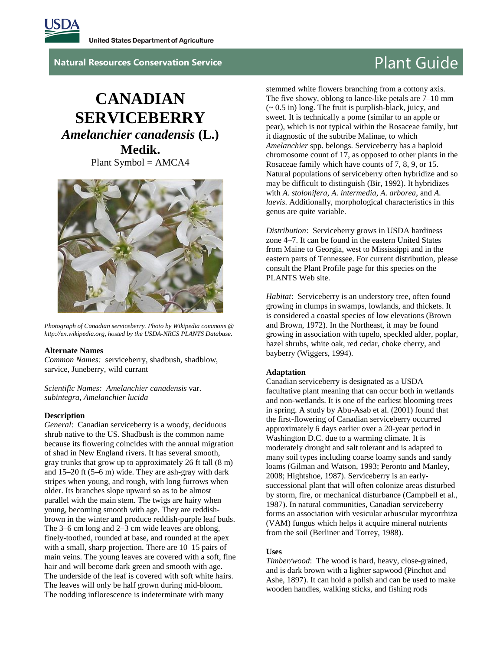

**Natural Resources Conservation Service Plant Guide** 

# **CANADIAN SERVICEBERRY**  *Amelanchier canadensis* **(L.) Medik.**

Plant Symbol = AMCA4



*Photograph of Canadian serviceberry. Photo by Wikipedia commons @ http://en.wikipedia.org, hosted by the USDA-NRCS PLANTS Database.*

#### **Alternate Names**

*Common Names:* serviceberry, shadbush, shadblow, sarvice, Juneberry, wild currant

*Scientific Names: Amelanchier canadensis* var. *subintegra*, *Amelanchier lucida*

#### **Description**

*General*: Canadian serviceberry is a woody, deciduous shrub native to the US. Shadbush is the common name because its flowering coincides with the annual migration of shad in New England rivers. It has several smooth, gray trunks that grow up to approximately 26 ft tall (8 m) and 15–20 ft (5–6 m) wide. They are ash-gray with dark stripes when young, and rough, with long furrows when older. Its branches slope upward so as to be almost parallel with the main stem. The twigs are hairy when young, becoming smooth with age. They are reddishbrown in the winter and produce reddish-purple leaf buds. The 3–6 cm long and 2–3 cm wide leaves are oblong, finely-toothed, rounded at base, and rounded at the apex with a small, sharp projection. There are 10–15 pairs of main veins. The young leaves are covered with a soft, fine hair and will become dark green and smooth with age. The underside of the leaf is covered with soft white hairs. The leaves will only be half grown during mid-bloom. The nodding inflorescence is indeterminate with many

stemmed white flowers branching from a cottony axis. The five showy, oblong to lance-like petals are 7–10 mm (~ 0.5 in) long. The fruit is purplish-black, juicy, and sweet. It is technically a pome (similar to an apple or pear), which is not typical within the Rosaceae family, but it diagnostic of the subtribe Malinae, to which *Amelanchier* spp. belongs. Serviceberry has a haploid chromosome count of 17, as opposed to other plants in the Rosaceae family which have counts of 7, 8, 9, or 15. Natural populations of serviceberry often hybridize and so may be difficult to distinguish (Bir, 1992). It hybridizes with *A. stolonifera*, *A. intermedia*, *A. arborea*, and *A. laevis*. Additionally, morphological characteristics in this genus are quite variable.

*Distribution*: Serviceberry grows in USDA hardiness zone 4–7. It can be found in the eastern United States from Maine to Georgia, west to Mississippi and in the eastern parts of Tennessee. For current distribution, please consult the Plant Profile page for this species on the PLANTS Web site.

*Habitat*: Serviceberry is an understory tree, often found growing in clumps in swamps, lowlands, and thickets. It is considered a coastal species of low elevations (Brown and Brown, 1972). In the Northeast, it may be found growing in association with tupelo, speckled alder, poplar, hazel shrubs, white oak, red cedar, choke cherry, and bayberry (Wiggers, 1994).

#### **Adaptation**

Canadian serviceberry is designated as a USDA facultative plant meaning that can occur both in wetlands and non-wetlands. It is one of the earliest blooming trees in spring. A study by Abu-Asab et al. (2001) found that the first-flowering of Canadian serviceberry occurred approximately 6 days earlier over a 20-year period in Washington D.C. due to a warming climate. It is moderately drought and salt tolerant and is adapted to many soil types including coarse loamy sands and sandy loams (Gilman and Watson, 1993; Peronto and Manley, 2008; Hightshoe, 1987). Serviceberry is an earlysuccessional plant that will often colonize areas disturbed by storm, fire, or mechanical disturbance (Campbell et al., 1987). In natural communities, Canadian serviceberry forms an association with vesicular arbuscular mycorrhiza (VAM) fungus which helps it acquire mineral nutrients from the soil (Berliner and Torrey, 1988).

#### **Uses**

*Timber/wood*: The wood is hard, heavy, close-grained, and is dark brown with a lighter sapwood (Pinchot and Ashe, 1897). It can hold a polish and can be used to make wooden handles, walking sticks, and fishing rods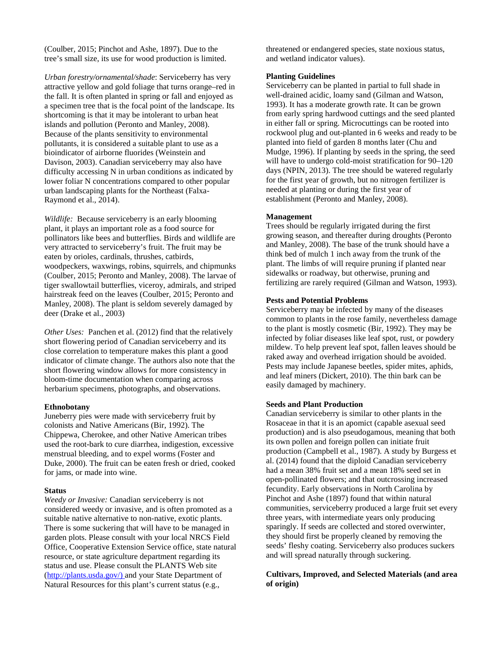(Coulber, 2015; Pinchot and Ashe, 1897). Due to the tree's small size, its use for wood production is limited.

*Urban forestry/ornamental/shade*: Serviceberry has very attractive yellow and gold foliage that turns orange–red in the fall. It is often planted in spring or fall and enjoyed as a specimen tree that is the focal point of the landscape. Its shortcoming is that it may be intolerant to urban heat islands and pollution (Peronto and Manley, 2008). Because of the plants sensitivity to environmental pollutants, it is considered a suitable plant to use as a bioindicator of airborne fluorides (Weinstein and Davison, 2003). Canadian serviceberry may also have difficulty accessing N in urban conditions as indicated by lower foliar N concentrations compared to other popular urban landscaping plants for the Northeast (Falxa-Raymond et al., 2014).

*Wildlife:* Because serviceberry is an early blooming plant, it plays an important role as a food source for pollinators like bees and butterflies. Birds and wildlife are very attracted to serviceberry's fruit. The fruit may be eaten by orioles, cardinals, thrushes, catbirds, woodpeckers, waxwings, robins, squirrels, and chipmunks (Coulber, 2015; Peronto and Manley, 2008). The larvae of tiger swallowtail butterflies, viceroy, admirals, and striped hairstreak feed on the leaves (Coulber, 2015; Peronto and Manley, 2008). The plant is seldom severely damaged by deer (Drake et al., 2003)

*Other Uses:* Panchen et al. (2012) find that the relatively short flowering period of Canadian serviceberry and its close correlation to temperature makes this plant a good indicator of climate change. The authors also note that the short flowering window allows for more consistency in bloom-time documentation when comparing across herbarium specimens, photographs, and observations.

#### **Ethnobotany**

Juneberry pies were made with serviceberry fruit by colonists and Native Americans (Bir, 1992). The Chippewa, Cherokee, and other Native American tribes used the root-bark to cure diarrhea, indigestion, excessive menstrual bleeding, and to expel worms (Foster and Duke, 2000). The fruit can be eaten fresh or dried, cooked for jams, or made into wine.

#### **Status**

*Weedy or Invasive:* Canadian serviceberry is not considered weedy or invasive, and is often promoted as a suitable native alternative to non-native, exotic plants. There is some suckering that will have to be managed in garden plots. Please consult with your local NRCS Field Office, Cooperative Extension Service office, state natural resource, or state agriculture department regarding its status and use. Please consult the PLANTS Web site [\(http://plants.usda.gov/\)](http://plants.usda.gov/) and your State Department of Natural Resources for this plant's current status (e.g.,

threatened or endangered species, state noxious status, and wetland indicator values).

### **Planting Guidelines**

Serviceberry can be planted in partial to full shade in well-drained acidic, loamy sand (Gilman and Watson, 1993). It has a moderate growth rate. It can be grown from early spring hardwood cuttings and the seed planted in either fall or spring. Microcuttings can be rooted into rockwool plug and out-planted in 6 weeks and ready to be planted into field of garden 8 months later (Chu and Mudge, 1996). If planting by seeds in the spring, the seed will have to undergo cold-moist stratification for 90–120 days (NPIN, 2013). The tree should be watered regularly for the first year of growth, but no nitrogen fertilizer is needed at planting or during the first year of establishment (Peronto and Manley, 2008).

### **Management**

Trees should be regularly irrigated during the first growing season, and thereafter during droughts (Peronto and Manley, 2008). The base of the trunk should have a think bed of mulch 1 inch away from the trunk of the plant. The limbs of will require pruning if planted near sidewalks or roadway, but otherwise, pruning and fertilizing are rarely required (Gilman and Watson, 1993).

#### **Pests and Potential Problems**

Serviceberry may be infected by many of the diseases common to plants in the rose family, nevertheless damage to the plant is mostly cosmetic (Bir, 1992). They may be infected by foliar diseases like leaf spot, rust, or powdery mildew. To help prevent leaf spot, fallen leaves should be raked away and overhead irrigation should be avoided. Pests may include Japanese beetles, spider mites, aphids, and leaf miners (Dickert, 2010). The thin bark can be easily damaged by machinery.

#### **Seeds and Plant Production**

Canadian serviceberry is similar to other plants in the Rosaceae in that it is an apomict (capable asexual seed production) and is also pseudogamous, meaning that both its own pollen and foreign pollen can initiate fruit production (Campbell et al., 1987). A study by Burgess et al. (2014) found that the diploid Canadian serviceberry had a mean 38% fruit set and a mean 18% seed set in open-pollinated flowers; and that outcrossing increased fecundity. Early observations in North Carolina by Pinchot and Ashe (1897) found that within natural communities, serviceberry produced a large fruit set every three years, with intermediate years only producing sparingly. If seeds are collected and stored overwinter, they should first be properly cleaned by removing the seeds' fleshy coating. Serviceberry also produces suckers and will spread naturally through suckering.

### **Cultivars, Improved, and Selected Materials (and area of origin)**